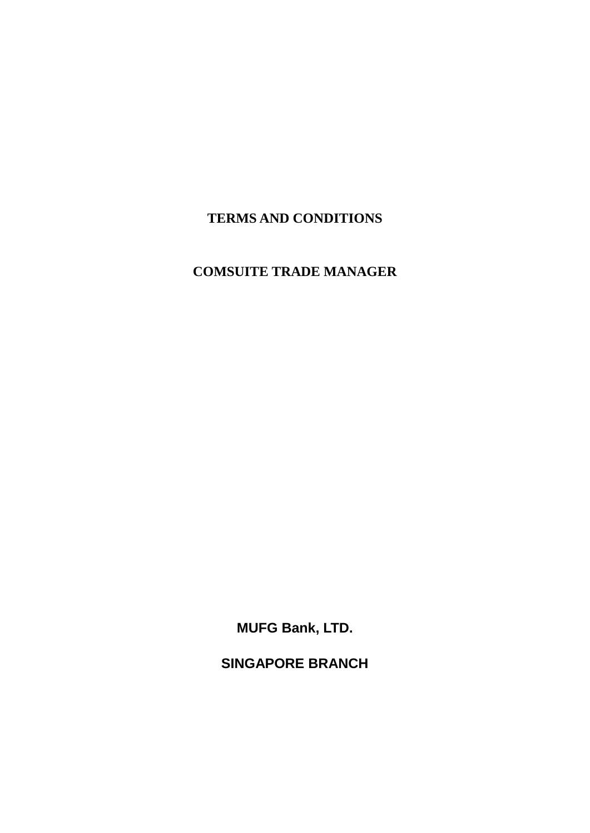# **TERMS AND CONDITIONS**

# **COMSUITE TRADE MANAGER**

**MUFG Bank, LTD.**

**SINGAPORE BRANCH**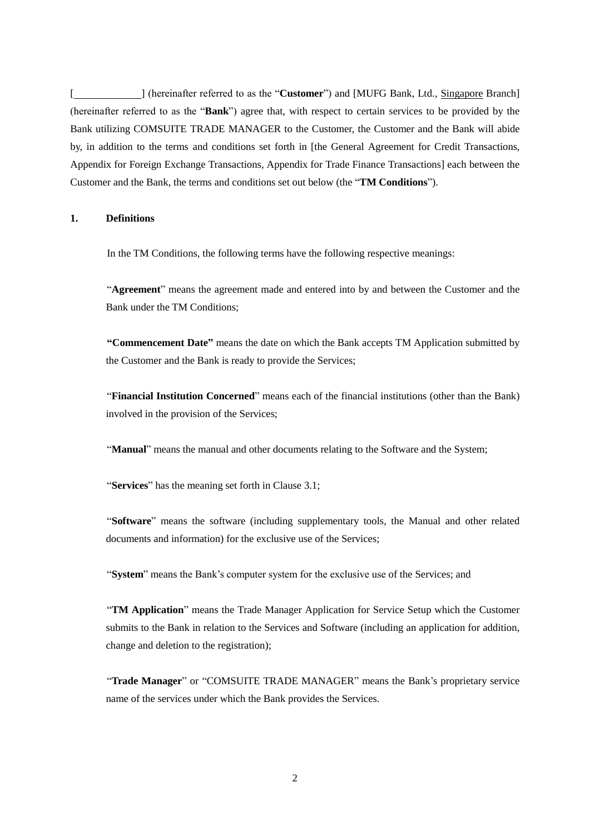[ ] (hereinafter referred to as the "**Customer**") and [MUFG Bank, Ltd., Singapore Branch] (hereinafter referred to as the "**Bank**") agree that, with respect to certain services to be provided by the Bank utilizing COMSUITE TRADE MANAGER to the Customer, the Customer and the Bank will abide by, in addition to the terms and conditions set forth in [the General Agreement for Credit Transactions, Appendix for Foreign Exchange Transactions, Appendix for Trade Finance Transactions] each between the Customer and the Bank, the terms and conditions set out below (the "**TM Conditions**").

# **1. Definitions**

In the TM Conditions, the following terms have the following respective meanings:

"**Agreement**" means the agreement made and entered into by and between the Customer and the Bank under the TM Conditions;

**"Commencement Date"** means the date on which the Bank accepts TM Application submitted by the Customer and the Bank is ready to provide the Services;

"**Financial Institution Concerned**" means each of the financial institutions (other than the Bank) involved in the provision of the Services;

"**Manual**" means the manual and other documents relating to the Software and the System;

"**Services**" has the meaning set forth in Clause 3.1;

"**Software**" means the software (including supplementary tools, the Manual and other related documents and information) for the exclusive use of the Services;

"**System**" means the Bank's computer system for the exclusive use of the Services; and

"**TM Application**" means the Trade Manager Application for Service Setup which the Customer submits to the Bank in relation to the Services and Software (including an application for addition, change and deletion to the registration);

"**Trade Manager**" or "COMSUITE TRADE MANAGER" means the Bank's proprietary service name of the services under which the Bank provides the Services.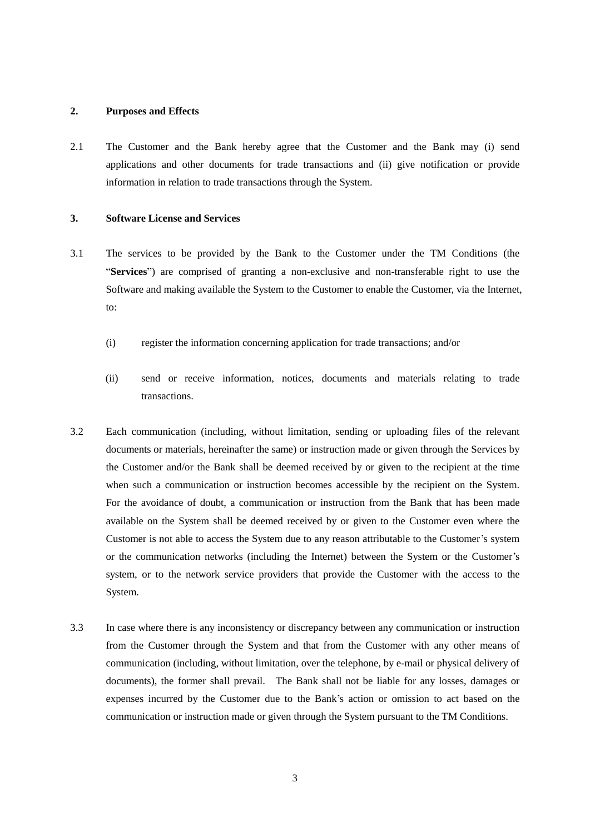#### **2. Purposes and Effects**

2.1 The Customer and the Bank hereby agree that the Customer and the Bank may (i) send applications and other documents for trade transactions and (ii) give notification or provide information in relation to trade transactions through the System.

# **3. Software License and Services**

- 3.1 The services to be provided by the Bank to the Customer under the TM Conditions (the "**Services**") are comprised of granting a non-exclusive and non-transferable right to use the Software and making available the System to the Customer to enable the Customer, via the Internet, to:
	- (i) register the information concerning application for trade transactions; and/or
	- (ii) send or receive information, notices, documents and materials relating to trade transactions.
- 3.2 Each communication (including, without limitation, sending or uploading files of the relevant documents or materials, hereinafter the same) or instruction made or given through the Services by the Customer and/or the Bank shall be deemed received by or given to the recipient at the time when such a communication or instruction becomes accessible by the recipient on the System. For the avoidance of doubt, a communication or instruction from the Bank that has been made available on the System shall be deemed received by or given to the Customer even where the Customer is not able to access the System due to any reason attributable to the Customer's system or the communication networks (including the Internet) between the System or the Customer's system, or to the network service providers that provide the Customer with the access to the System.
- 3.3 In case where there is any inconsistency or discrepancy between any communication or instruction from the Customer through the System and that from the Customer with any other means of communication (including, without limitation, over the telephone, by e-mail or physical delivery of documents), the former shall prevail. The Bank shall not be liable for any losses, damages or expenses incurred by the Customer due to the Bank's action or omission to act based on the communication or instruction made or given through the System pursuant to the TM Conditions.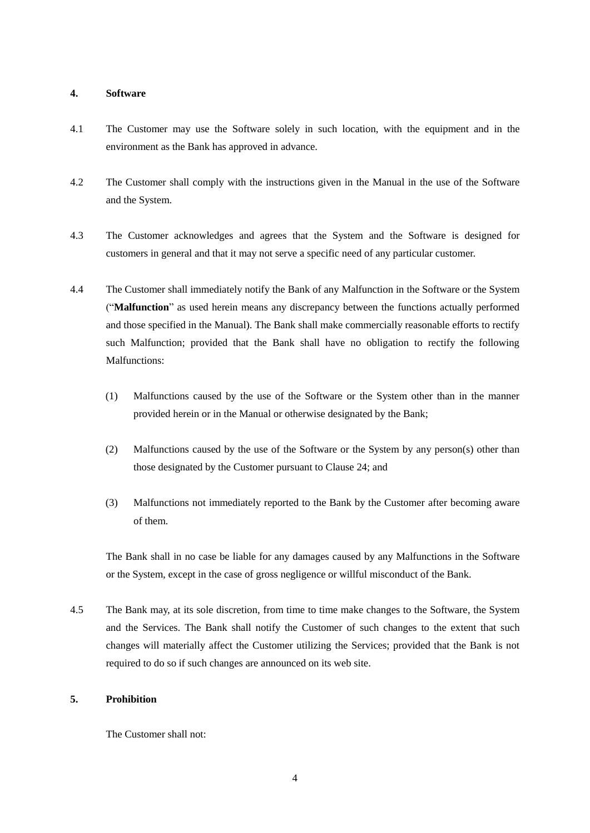#### **4. Software**

- 4.1 The Customer may use the Software solely in such location, with the equipment and in the environment as the Bank has approved in advance.
- 4.2 The Customer shall comply with the instructions given in the Manual in the use of the Software and the System.
- 4.3 The Customer acknowledges and agrees that the System and the Software is designed for customers in general and that it may not serve a specific need of any particular customer.
- 4.4 The Customer shall immediately notify the Bank of any Malfunction in the Software or the System ("**Malfunction**" as used herein means any discrepancy between the functions actually performed and those specified in the Manual). The Bank shall make commercially reasonable efforts to rectify such Malfunction; provided that the Bank shall have no obligation to rectify the following Malfunctions:
	- (1) Malfunctions caused by the use of the Software or the System other than in the manner provided herein or in the Manual or otherwise designated by the Bank;
	- (2) Malfunctions caused by the use of the Software or the System by any person(s) other than those designated by the Customer pursuant to Clause 24; and
	- (3) Malfunctions not immediately reported to the Bank by the Customer after becoming aware of them.

The Bank shall in no case be liable for any damages caused by any Malfunctions in the Software or the System, except in the case of gross negligence or willful misconduct of the Bank.

4.5 The Bank may, at its sole discretion, from time to time make changes to the Software, the System and the Services. The Bank shall notify the Customer of such changes to the extent that such changes will materially affect the Customer utilizing the Services; provided that the Bank is not required to do so if such changes are announced on its web site.

# **5. Prohibition**

The Customer shall not: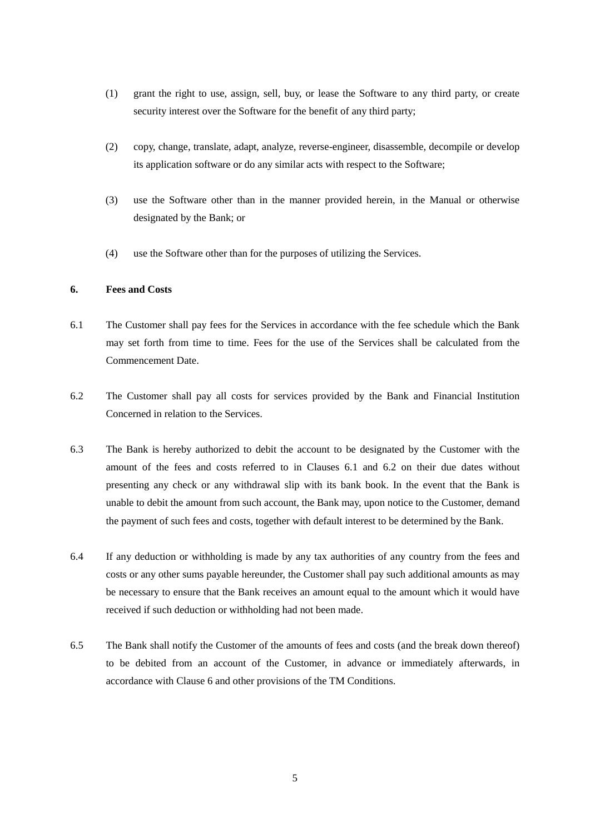- (1) grant the right to use, assign, sell, buy, or lease the Software to any third party, or create security interest over the Software for the benefit of any third party;
- (2) copy, change, translate, adapt, analyze, reverse-engineer, disassemble, decompile or develop its application software or do any similar acts with respect to the Software;
- (3) use the Software other than in the manner provided herein, in the Manual or otherwise designated by the Bank; or
- (4) use the Software other than for the purposes of utilizing the Services.

# **6. Fees and Costs**

- 6.1 The Customer shall pay fees for the Services in accordance with the fee schedule which the Bank may set forth from time to time. Fees for the use of the Services shall be calculated from the Commencement Date.
- 6.2 The Customer shall pay all costs for services provided by the Bank and Financial Institution Concerned in relation to the Services.
- 6.3 The Bank is hereby authorized to debit the account to be designated by the Customer with the amount of the fees and costs referred to in Clauses 6.1 and 6.2 on their due dates without presenting any check or any withdrawal slip with its bank book. In the event that the Bank is unable to debit the amount from such account, the Bank may, upon notice to the Customer, demand the payment of such fees and costs, together with default interest to be determined by the Bank.
- 6.4 If any deduction or withholding is made by any tax authorities of any country from the fees and costs or any other sums payable hereunder, the Customer shall pay such additional amounts as may be necessary to ensure that the Bank receives an amount equal to the amount which it would have received if such deduction or withholding had not been made.
- 6.5 The Bank shall notify the Customer of the amounts of fees and costs (and the break down thereof) to be debited from an account of the Customer, in advance or immediately afterwards, in accordance with Clause 6 and other provisions of the TM Conditions.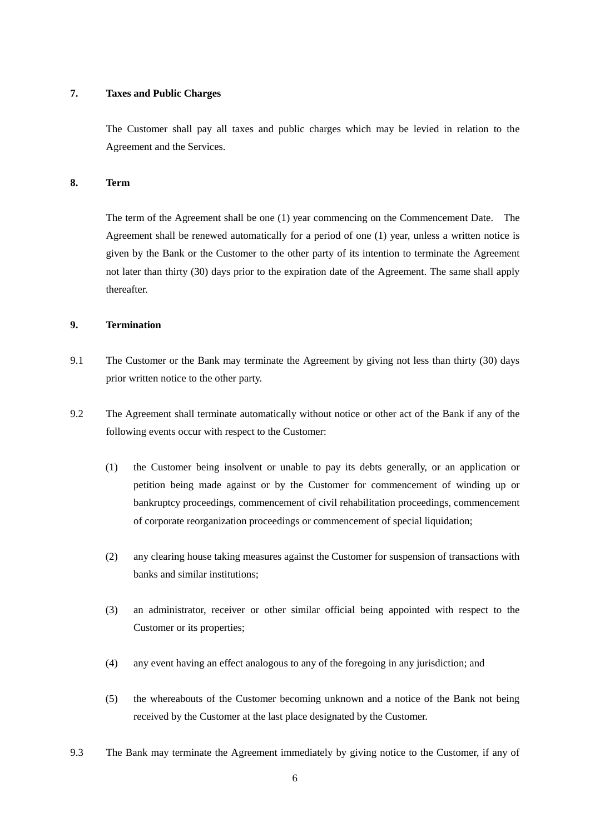# **7. Taxes and Public Charges**

The Customer shall pay all taxes and public charges which may be levied in relation to the Agreement and the Services.

# **8. Term**

The term of the Agreement shall be one (1) year commencing on the Commencement Date. The Agreement shall be renewed automatically for a period of one (1) year, unless a written notice is given by the Bank or the Customer to the other party of its intention to terminate the Agreement not later than thirty (30) days prior to the expiration date of the Agreement. The same shall apply thereafter.

# **9. Termination**

- 9.1 The Customer or the Bank may terminate the Agreement by giving not less than thirty (30) days prior written notice to the other party.
- 9.2 The Agreement shall terminate automatically without notice or other act of the Bank if any of the following events occur with respect to the Customer:
	- (1) the Customer being insolvent or unable to pay its debts generally, or an application or petition being made against or by the Customer for commencement of winding up or bankruptcy proceedings, commencement of civil rehabilitation proceedings, commencement of corporate reorganization proceedings or commencement of special liquidation;
	- (2) any clearing house taking measures against the Customer for suspension of transactions with banks and similar institutions;
	- (3) an administrator, receiver or other similar official being appointed with respect to the Customer or its properties;
	- (4) any event having an effect analogous to any of the foregoing in any jurisdiction; and
	- (5) the whereabouts of the Customer becoming unknown and a notice of the Bank not being received by the Customer at the last place designated by the Customer.
- 9.3 The Bank may terminate the Agreement immediately by giving notice to the Customer, if any of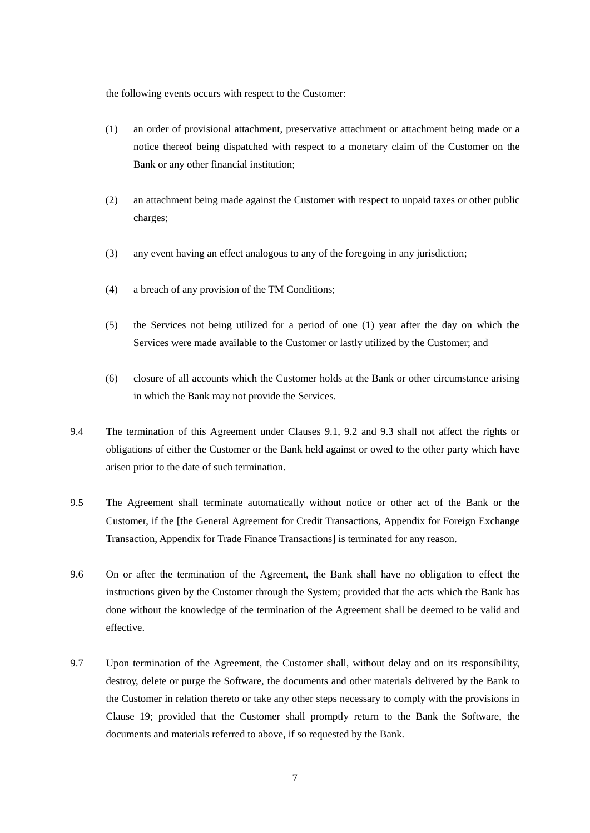the following events occurs with respect to the Customer:

- (1) an order of provisional attachment, preservative attachment or attachment being made or a notice thereof being dispatched with respect to a monetary claim of the Customer on the Bank or any other financial institution;
- (2) an attachment being made against the Customer with respect to unpaid taxes or other public charges;
- (3) any event having an effect analogous to any of the foregoing in any jurisdiction;
- (4) a breach of any provision of the TM Conditions;
- (5) the Services not being utilized for a period of one (1) year after the day on which the Services were made available to the Customer or lastly utilized by the Customer; and
- (6) closure of all accounts which the Customer holds at the Bank or other circumstance arising in which the Bank may not provide the Services.
- 9.4 The termination of this Agreement under Clauses 9.1, 9.2 and 9.3 shall not affect the rights or obligations of either the Customer or the Bank held against or owed to the other party which have arisen prior to the date of such termination.
- 9.5 The Agreement shall terminate automatically without notice or other act of the Bank or the Customer, if the [the General Agreement for Credit Transactions, Appendix for Foreign Exchange Transaction, Appendix for Trade Finance Transactions] is terminated for any reason.
- 9.6 On or after the termination of the Agreement, the Bank shall have no obligation to effect the instructions given by the Customer through the System; provided that the acts which the Bank has done without the knowledge of the termination of the Agreement shall be deemed to be valid and effective.
- 9.7 Upon termination of the Agreement, the Customer shall, without delay and on its responsibility, destroy, delete or purge the Software, the documents and other materials delivered by the Bank to the Customer in relation thereto or take any other steps necessary to comply with the provisions in Clause 19; provided that the Customer shall promptly return to the Bank the Software, the documents and materials referred to above, if so requested by the Bank.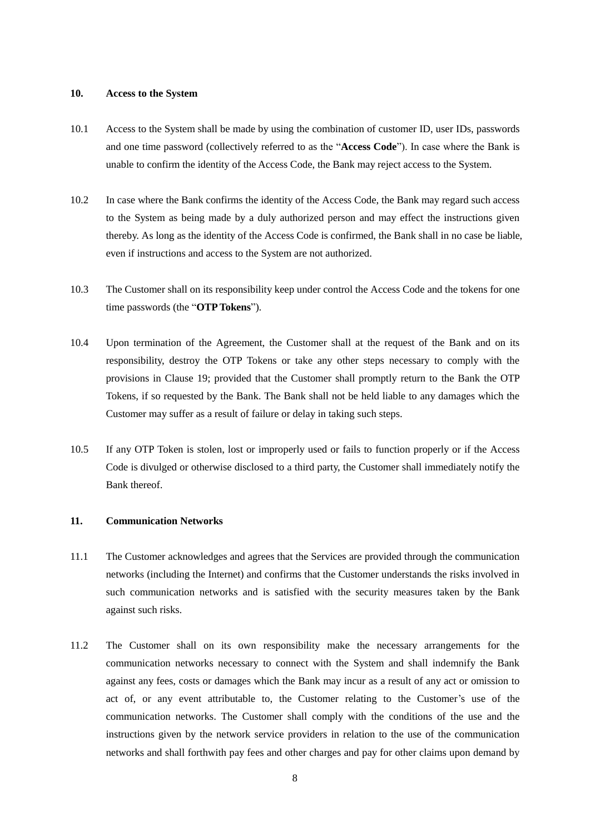# **10. Access to the System**

- 10.1 Access to the System shall be made by using the combination of customer ID, user IDs, passwords and one time password (collectively referred to as the "**Access Code**"). In case where the Bank is unable to confirm the identity of the Access Code, the Bank may reject access to the System.
- 10.2 In case where the Bank confirms the identity of the Access Code, the Bank may regard such access to the System as being made by a duly authorized person and may effect the instructions given thereby. As long as the identity of the Access Code is confirmed, the Bank shall in no case be liable, even if instructions and access to the System are not authorized.
- 10.3 The Customer shall on its responsibility keep under control the Access Code and the tokens for one time passwords (the "**OTP Tokens**").
- 10.4 Upon termination of the Agreement, the Customer shall at the request of the Bank and on its responsibility, destroy the OTP Tokens or take any other steps necessary to comply with the provisions in Clause 19; provided that the Customer shall promptly return to the Bank the OTP Tokens, if so requested by the Bank. The Bank shall not be held liable to any damages which the Customer may suffer as a result of failure or delay in taking such steps.
- 10.5 If any OTP Token is stolen, lost or improperly used or fails to function properly or if the Access Code is divulged or otherwise disclosed to a third party, the Customer shall immediately notify the Bank thereof.

# **11. Communication Networks**

- 11.1 The Customer acknowledges and agrees that the Services are provided through the communication networks (including the Internet) and confirms that the Customer understands the risks involved in such communication networks and is satisfied with the security measures taken by the Bank against such risks.
- 11.2 The Customer shall on its own responsibility make the necessary arrangements for the communication networks necessary to connect with the System and shall indemnify the Bank against any fees, costs or damages which the Bank may incur as a result of any act or omission to act of, or any event attributable to, the Customer relating to the Customer's use of the communication networks. The Customer shall comply with the conditions of the use and the instructions given by the network service providers in relation to the use of the communication networks and shall forthwith pay fees and other charges and pay for other claims upon demand by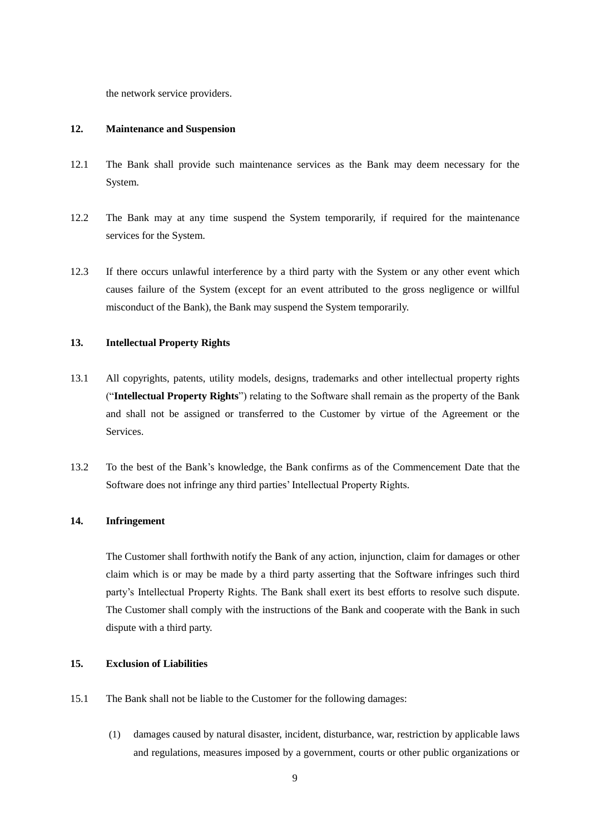the network service providers.

#### **12. Maintenance and Suspension**

- 12.1 The Bank shall provide such maintenance services as the Bank may deem necessary for the System.
- 12.2 The Bank may at any time suspend the System temporarily, if required for the maintenance services for the System.
- 12.3 If there occurs unlawful interference by a third party with the System or any other event which causes failure of the System (except for an event attributed to the gross negligence or willful misconduct of the Bank), the Bank may suspend the System temporarily.

# **13. Intellectual Property Rights**

- 13.1 All copyrights, patents, utility models, designs, trademarks and other intellectual property rights ("**Intellectual Property Rights**") relating to the Software shall remain as the property of the Bank and shall not be assigned or transferred to the Customer by virtue of the Agreement or the Services.
- 13.2 To the best of the Bank's knowledge, the Bank confirms as of the Commencement Date that the Software does not infringe any third parties' Intellectual Property Rights.

# **14. Infringement**

The Customer shall forthwith notify the Bank of any action, injunction, claim for damages or other claim which is or may be made by a third party asserting that the Software infringes such third party's Intellectual Property Rights. The Bank shall exert its best efforts to resolve such dispute. The Customer shall comply with the instructions of the Bank and cooperate with the Bank in such dispute with a third party.

#### **15. Exclusion of Liabilities**

- 15.1 The Bank shall not be liable to the Customer for the following damages:
	- (1) damages caused by natural disaster, incident, disturbance, war, restriction by applicable laws and regulations, measures imposed by a government, courts or other public organizations or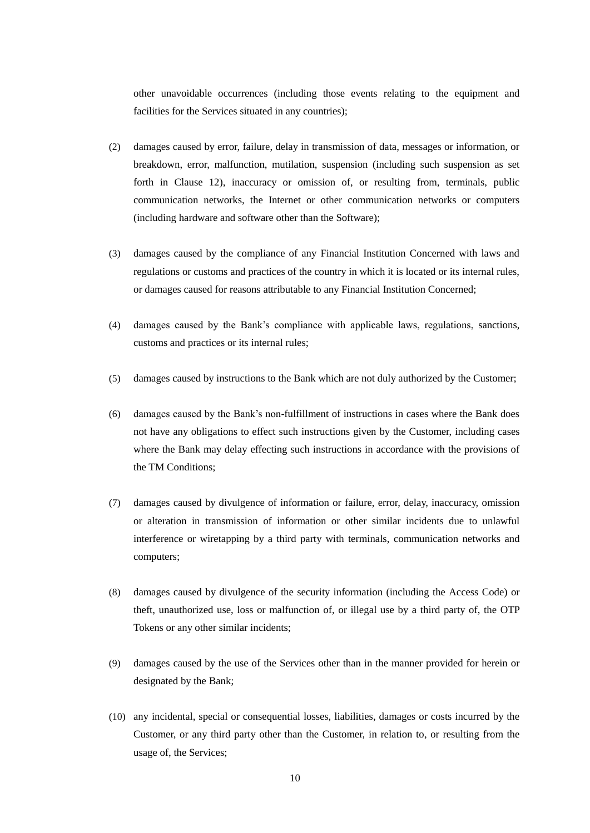other unavoidable occurrences (including those events relating to the equipment and facilities for the Services situated in any countries);

- (2) damages caused by error, failure, delay in transmission of data, messages or information, or breakdown, error, malfunction, mutilation, suspension (including such suspension as set forth in Clause 12), inaccuracy or omission of, or resulting from, terminals, public communication networks, the Internet or other communication networks or computers (including hardware and software other than the Software);
- (3) damages caused by the compliance of any Financial Institution Concerned with laws and regulations or customs and practices of the country in which it is located or its internal rules, or damages caused for reasons attributable to any Financial Institution Concerned;
- (4) damages caused by the Bank's compliance with applicable laws, regulations, sanctions, customs and practices or its internal rules;
- (5) damages caused by instructions to the Bank which are not duly authorized by the Customer;
- (6) damages caused by the Bank's non-fulfillment of instructions in cases where the Bank does not have any obligations to effect such instructions given by the Customer, including cases where the Bank may delay effecting such instructions in accordance with the provisions of the TM Conditions;
- (7) damages caused by divulgence of information or failure, error, delay, inaccuracy, omission or alteration in transmission of information or other similar incidents due to unlawful interference or wiretapping by a third party with terminals, communication networks and computers;
- (8) damages caused by divulgence of the security information (including the Access Code) or theft, unauthorized use, loss or malfunction of, or illegal use by a third party of, the OTP Tokens or any other similar incidents;
- (9) damages caused by the use of the Services other than in the manner provided for herein or designated by the Bank;
- (10) any incidental, special or consequential losses, liabilities, damages or costs incurred by the Customer, or any third party other than the Customer, in relation to, or resulting from the usage of, the Services;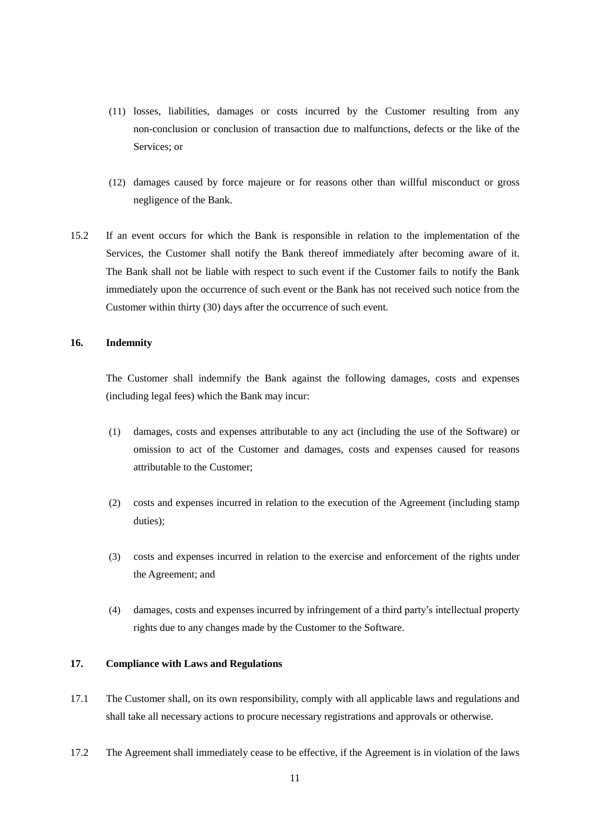- (11) losses, liabilities, damages or costs incurred by the Customer resulting from any non-conclusion or conclusion of transaction due to malfunctions, defects or the like of the Services; or
- (12) damages caused by force majeure or for reasons other than willful misconduct or gross negligence of the Bank.
- 15.2 If an event occurs for which the Bank is responsible in relation to the implementation of the Services, the Customer shall notify the Bank thereof immediately after becoming aware of it. The Bank shall not be liable with respect to such event if the Customer fails to notify the Bank immediately upon the occurrence of such event or the Bank has not received such notice from the Customer within thirty (30) days after the occurrence of such event.

# **16. Indemnity**

The Customer shall indemnify the Bank against the following damages, costs and expenses (including legal fees) which the Bank may incur:

- (1) damages, costs and expenses attributable to any act (including the use of the Software) or omission to act of the Customer and damages, costs and expenses caused for reasons attributable to the Customer;
- (2) costs and expenses incurred in relation to the execution of the Agreement (including stamp duties);
- (3) costs and expenses incurred in relation to the exercise and enforcement of the rights under the Agreement; and
- (4) damages, costs and expenses incurred by infringement of a third party's intellectual property rights due to any changes made by the Customer to the Software.

#### **17. Compliance with Laws and Regulations**

- 17.1 The Customer shall, on its own responsibility, comply with all applicable laws and regulations and shall take all necessary actions to procure necessary registrations and approvals or otherwise.
- 17.2 The Agreement shall immediately cease to be effective, if the Agreement is in violation of the laws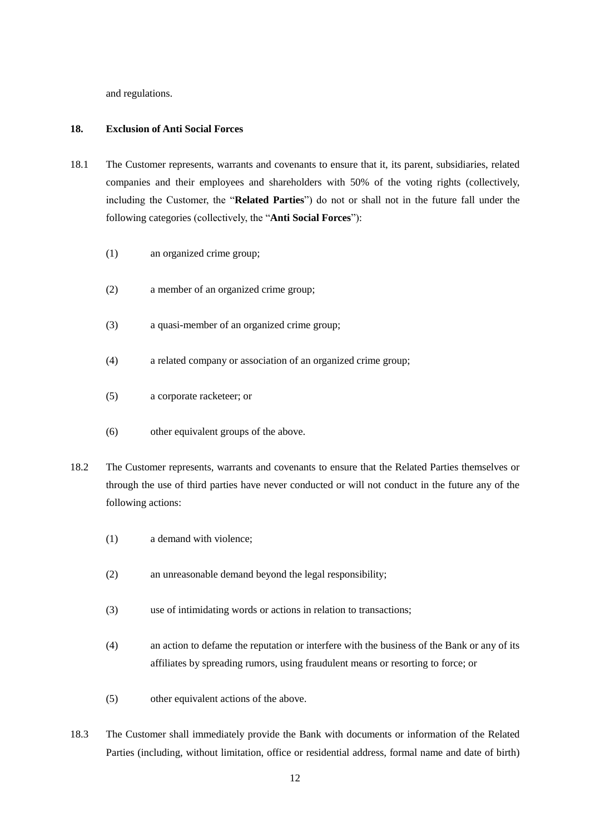and regulations.

# **18. Exclusion of Anti Social Forces**

- 18.1 The Customer represents, warrants and covenants to ensure that it, its parent, subsidiaries, related companies and their employees and shareholders with 50% of the voting rights (collectively, including the Customer, the "**Related Parties**") do not or shall not in the future fall under the following categories (collectively, the "**Anti Social Forces**"):
	- (1) an organized crime group;
	- (2) a member of an organized crime group;
	- (3) a quasi-member of an organized crime group;
	- (4) a related company or association of an organized crime group;
	- (5) a corporate racketeer; or
	- (6) other equivalent groups of the above.
- 18.2 The Customer represents, warrants and covenants to ensure that the Related Parties themselves or through the use of third parties have never conducted or will not conduct in the future any of the following actions:
	- (1) a demand with violence;
	- (2) an unreasonable demand beyond the legal responsibility;
	- (3) use of intimidating words or actions in relation to transactions;
	- (4) an action to defame the reputation or interfere with the business of the Bank or any of its affiliates by spreading rumors, using fraudulent means or resorting to force; or
	- (5) other equivalent actions of the above.
- 18.3 The Customer shall immediately provide the Bank with documents or information of the Related Parties (including, without limitation, office or residential address, formal name and date of birth)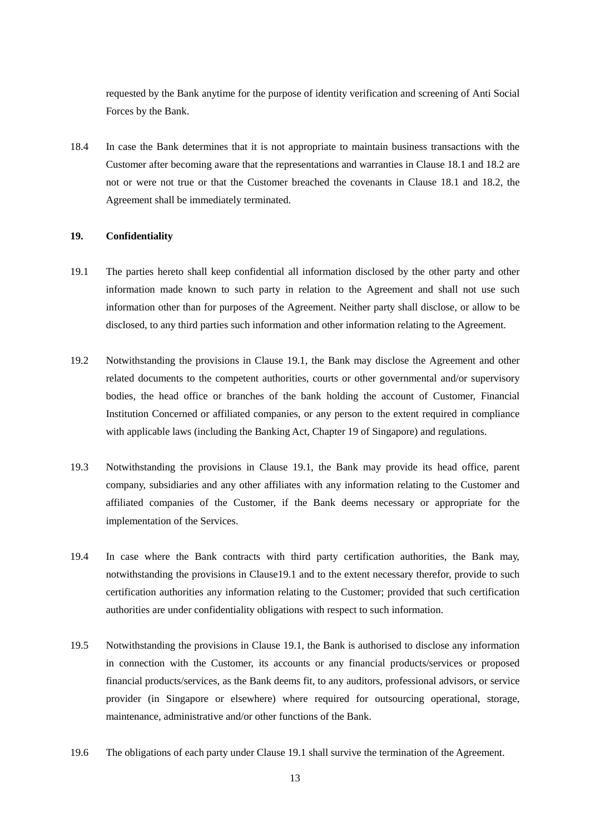requested by the Bank anytime for the purpose of identity verification and screening of Anti Social Forces by the Bank.

18.4 In case the Bank determines that it is not appropriate to maintain business transactions with the Customer after becoming aware that the representations and warranties in Clause 18.1 and 18.2 are not or were not true or that the Customer breached the covenants in Clause 18.1 and 18.2, the Agreement shall be immediately terminated.

# **19. Confidentiality**

- 19.1 The parties hereto shall keep confidential all information disclosed by the other party and other information made known to such party in relation to the Agreement and shall not use such information other than for purposes of the Agreement. Neither party shall disclose, or allow to be disclosed, to any third parties such information and other information relating to the Agreement.
- 19.2 Notwithstanding the provisions in Clause 19.1, the Bank may disclose the Agreement and other related documents to the competent authorities, courts or other governmental and/or supervisory bodies, the head office or branches of the bank holding the account of Customer, Financial Institution Concerned or affiliated companies, or any person to the extent required in compliance with applicable laws (including the Banking Act, Chapter 19 of Singapore) and regulations.
- 19.3 Notwithstanding the provisions in Clause 19.1, the Bank may provide its head office, parent company, subsidiaries and any other affiliates with any information relating to the Customer and affiliated companies of the Customer, if the Bank deems necessary or appropriate for the implementation of the Services.
- 19.4 In case where the Bank contracts with third party certification authorities, the Bank may, notwithstanding the provisions in Clause19.1 and to the extent necessary therefor, provide to such certification authorities any information relating to the Customer; provided that such certification authorities are under confidentiality obligations with respect to such information.
- 19.5 Notwithstanding the provisions in Clause 19.1, the Bank is authorised to disclose any information in connection with the Customer, its accounts or any financial products/services or proposed financial products/services, as the Bank deems fit, to any auditors, professional advisors, or service provider (in Singapore or elsewhere) where required for outsourcing operational, storage, maintenance, administrative and/or other functions of the Bank.
- 19.6 The obligations of each party under Clause 19.1 shall survive the termination of the Agreement.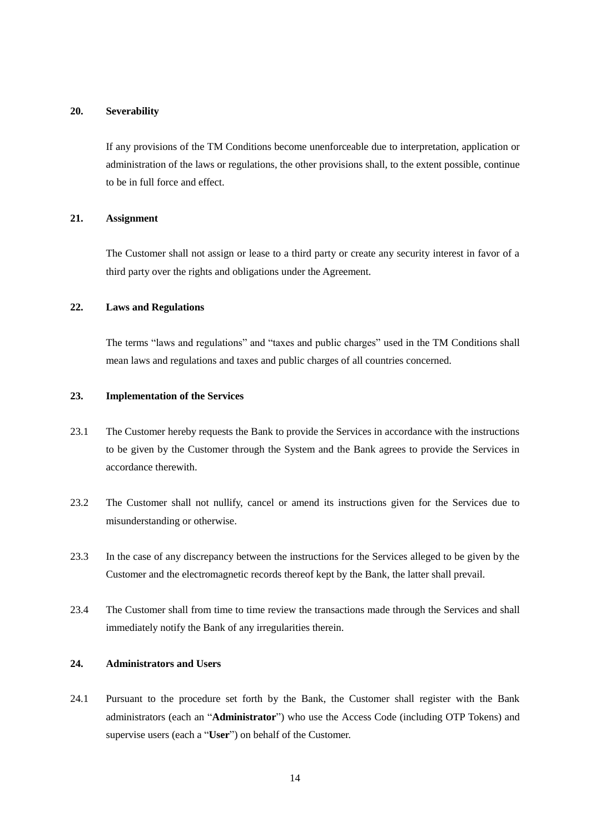#### **20. Severability**

If any provisions of the TM Conditions become unenforceable due to interpretation, application or administration of the laws or regulations, the other provisions shall, to the extent possible, continue to be in full force and effect.

# **21. Assignment**

The Customer shall not assign or lease to a third party or create any security interest in favor of a third party over the rights and obligations under the Agreement.

# **22. Laws and Regulations**

The terms "laws and regulations" and "taxes and public charges" used in the TM Conditions shall mean laws and regulations and taxes and public charges of all countries concerned.

# **23. Implementation of the Services**

- 23.1 The Customer hereby requests the Bank to provide the Services in accordance with the instructions to be given by the Customer through the System and the Bank agrees to provide the Services in accordance therewith.
- 23.2 The Customer shall not nullify, cancel or amend its instructions given for the Services due to misunderstanding or otherwise.
- 23.3 In the case of any discrepancy between the instructions for the Services alleged to be given by the Customer and the electromagnetic records thereof kept by the Bank, the latter shall prevail.
- 23.4 The Customer shall from time to time review the transactions made through the Services and shall immediately notify the Bank of any irregularities therein.

#### **24. Administrators and Users**

24.1 Pursuant to the procedure set forth by the Bank, the Customer shall register with the Bank administrators (each an "**Administrator**") who use the Access Code (including OTP Tokens) and supervise users (each a "**User**") on behalf of the Customer.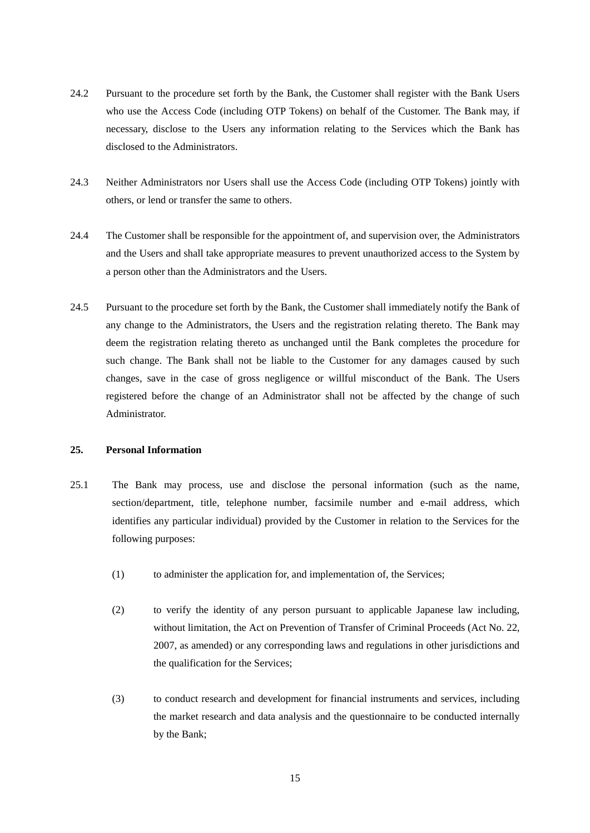- 24.2 Pursuant to the procedure set forth by the Bank, the Customer shall register with the Bank Users who use the Access Code (including OTP Tokens) on behalf of the Customer. The Bank may, if necessary, disclose to the Users any information relating to the Services which the Bank has disclosed to the Administrators.
- 24.3 Neither Administrators nor Users shall use the Access Code (including OTP Tokens) jointly with others, or lend or transfer the same to others.
- 24.4 The Customer shall be responsible for the appointment of, and supervision over, the Administrators and the Users and shall take appropriate measures to prevent unauthorized access to the System by a person other than the Administrators and the Users.
- 24.5 Pursuant to the procedure set forth by the Bank, the Customer shall immediately notify the Bank of any change to the Administrators, the Users and the registration relating thereto. The Bank may deem the registration relating thereto as unchanged until the Bank completes the procedure for such change. The Bank shall not be liable to the Customer for any damages caused by such changes, save in the case of gross negligence or willful misconduct of the Bank. The Users registered before the change of an Administrator shall not be affected by the change of such Administrator.

# **25. Personal Information**

- 25.1 The Bank may process, use and disclose the personal information (such as the name, section/department, title, telephone number, facsimile number and e-mail address, which identifies any particular individual) provided by the Customer in relation to the Services for the following purposes:
	- (1) to administer the application for, and implementation of, the Services;
	- (2) to verify the identity of any person pursuant to applicable Japanese law including, without limitation, the Act on Prevention of Transfer of Criminal Proceeds (Act No. 22, 2007, as amended) or any corresponding laws and regulations in other jurisdictions and the qualification for the Services;
	- (3) to conduct research and development for financial instruments and services, including the market research and data analysis and the questionnaire to be conducted internally by the Bank;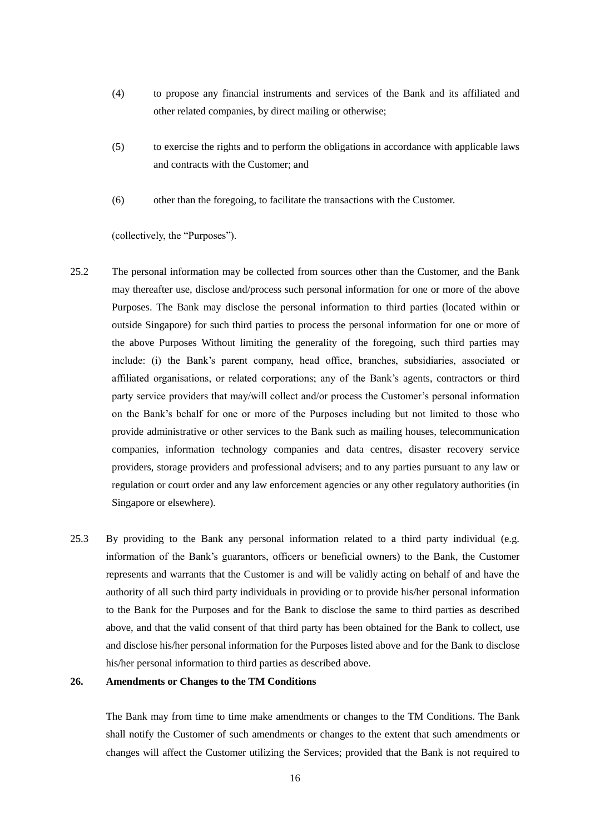- (4) to propose any financial instruments and services of the Bank and its affiliated and other related companies, by direct mailing or otherwise;
- (5) to exercise the rights and to perform the obligations in accordance with applicable laws and contracts with the Customer; and
- (6) other than the foregoing, to facilitate the transactions with the Customer.

(collectively, the "Purposes").

- 25.2 The personal information may be collected from sources other than the Customer, and the Bank may thereafter use, disclose and/process such personal information for one or more of the above Purposes. The Bank may disclose the personal information to third parties (located within or outside Singapore) for such third parties to process the personal information for one or more of the above Purposes Without limiting the generality of the foregoing, such third parties may include: (i) the Bank's parent company, head office, branches, subsidiaries, associated or affiliated organisations, or related corporations; any of the Bank's agents, contractors or third party service providers that may/will collect and/or process the Customer's personal information on the Bank's behalf for one or more of the Purposes including but not limited to those who provide administrative or other services to the Bank such as mailing houses, telecommunication companies, information technology companies and data centres, disaster recovery service providers, storage providers and professional advisers; and to any parties pursuant to any law or regulation or court order and any law enforcement agencies or any other regulatory authorities (in Singapore or elsewhere).
- 25.3 By providing to the Bank any personal information related to a third party individual (e.g. information of the Bank's guarantors, officers or beneficial owners) to the Bank, the Customer represents and warrants that the Customer is and will be validly acting on behalf of and have the authority of all such third party individuals in providing or to provide his/her personal information to the Bank for the Purposes and for the Bank to disclose the same to third parties as described above, and that the valid consent of that third party has been obtained for the Bank to collect, use and disclose his/her personal information for the Purposes listed above and for the Bank to disclose his/her personal information to third parties as described above.

#### **26. Amendments or Changes to the TM Conditions**

The Bank may from time to time make amendments or changes to the TM Conditions. The Bank shall notify the Customer of such amendments or changes to the extent that such amendments or changes will affect the Customer utilizing the Services; provided that the Bank is not required to